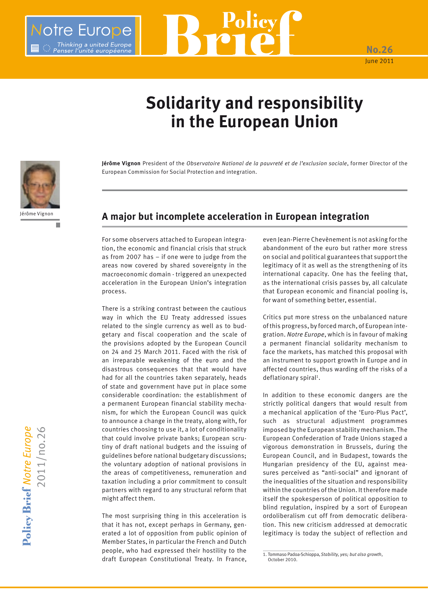## **Solidarity and responsibility in the European Union**

**Policy** 

**Jérôme Vignon** President of the *Observatoire National de la pauvreté et de l'exclusion sociale*, former Director of the European Commission for Social Protection and integration.



otre Europe

Thinking a united Europe<br>Penser l'unité européenne

## **A major but incomplete acceleration in European integration**

For some observers attached to European integration, the economic and financial crisis that struck as from 2007 has – if one were to judge from the areas now covered by shared sovereignty in the macroeconomic domain - triggered an unexpected acceleration in the European Union's integration process.

There is a striking contrast between the cautious way in which the EU Treaty addressed issues related to the single currency as well as to budgetary and fiscal cooperation and the scale of the provisions adopted by the European Council on 24 and 25 March 2011. Faced with the risk of an irreparable weakening of the euro and the disastrous consequences that that would have had for all the countries taken separately, heads of state and government have put in place some considerable coordination: the establishment of a permanent European financial stability mechanism, for which the European Council was quick to announce a change in the treaty, along with, for countries choosing to use it, a lot of conditionality that could involve private banks; European scrutiny of draft national budgets and the issuing of guidelines before national budgetary discussions; the voluntary adoption of national provisions in the areas of competitiveness, remuneration and taxation including a prior commitment to consult partners with regard to any structural reform that might affect them.

The most surprising thing in this acceleration is that it has not, except perhaps in Germany, generated a lot of opposition from public opinion of Member States, in particular the French and Dutch people, who had expressed their hostility to the draft European Constitutional Treaty. In France,

even Jean-Pierre Chevènement is not asking for the abandonment of the euro but rather more stress on social and political guarantees that support the legitimacy of it as well as the strengthening of its international capacity. One has the feeling that, as the international crisis passes by, all calculate that European economic and financial pooling is, for want of something better, essential.

**No.26** June 2011

Critics put more stress on the unbalanced nature of this progress, by forced march, of European integration. *Notre Europe*, which is in favour of making a permanent financial solidarity mechanism to face the markets, has matched this proposal with an instrument to support growth in Europe and in affected countries, thus warding off the risks of a deflationary spiral<sup>1</sup>.

In addition to these economic dangers are the strictly political dangers that would result from a mechanical application of the 'Euro-Plus Pact', such as structural adjustment programmes imposed by the European stability mechanism. The European Confederation of Trade Unions staged a vigorous demonstration in Brussels, during the European Council, and in Budapest, towards the Hungarian presidency of the EU, against measures perceived as "anti-social" and ignorant of the inequalities of the situation and responsibility within the countries of the Union. It therefore made itself the spokesperson of political opposition to blind regulation, inspired by a sort of European ordoliberalism cut off from democratic deliberation. This new criticism addressed at democratic legitimacy is today the subject of reflection and

<sup>1.</sup> Tommaso Padoa-Schioppa, *Stability, yes; but also growth*, October 2010.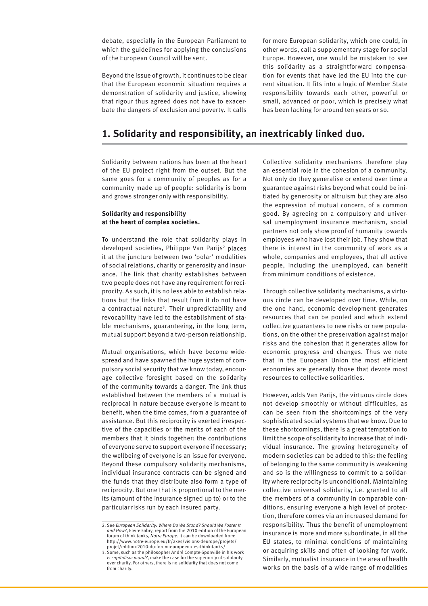debate, especially in the European Parliament to which the guidelines for applying the conclusions of the European Council will be sent.

Beyond the issue of growth, it continues to be clear that the European economic situation requires a demonstration of solidarity and justice, showing that rigour thus agreed does not have to exacerbate the dangers of exclusion and poverty. It calls for more European solidarity, which one could, in other words, call a supplementary stage for social Europe. However, one would be mistaken to see this solidarity as a straightforward compensation for events that have led the EU into the current situation. It fits into a logic of Member State responsibility towards each other, powerful or small, advanced or poor, which is precisely what has been lacking for around ten years or so.

## **1. Solidarity and responsibility, an inextricably linked duo.**

Solidarity between nations has been at the heart of the EU project right from the outset. But the same goes for a community of peoples as for a community made up of people: solidarity is born and grows stronger only with responsibility.

### **Solidarity and responsibility at the heart of complex societies.**

To understand the role that solidarity plays in developed societies, Philippe Van Parijs<sup>2</sup> places it at the juncture between two 'polar' modalities of social relations, charity or generosity and insurance. The link that charity establishes between two people does not have any requirement for reciprocity. As such, it is no less able to establish relations but the links that result from it do not have a contractual nature<sup>3</sup>. Their unpredictability and revocability have led to the establishment of stable mechanisms, guaranteeing, in the long term, mutual support beyond a two-person relationship.

Mutual organisations, which have become widespread and have spawned the huge system of compulsory social security that we know today, encourage collective foresight based on the solidarity of the community towards a danger. The link thus established between the members of a mutual is reciprocal in nature because everyone is meant to benefit, when the time comes, from a guarantee of assistance. But this reciprocity is exerted irrespective of the capacities or the merits of each of the members that it binds together: the contributions of everyone serve to support everyone if necessary; the wellbeing of everyone is an issue for everyone. Beyond these compulsory solidarity mechanisms, individual insurance contracts can be signed and the funds that they distribute also form a type of reciprocity. But one that is proportional to the merits (amount of the insurance signed up to) or to the particular risks run by each insured party.

Collective solidarity mechanisms therefore play an essential role in the cohesion of a community. Not only do they generalise or extend over time a guarantee against risks beyond what could be initiated by generosity or altruism but they are also the expression of mutual concern, of a common good. By agreeing on a compulsory and universal unemployment insurance mechanism, social partners not only show proof of humanity towards employees who have lost their job. They show that there is interest in the community of work as a whole, companies and employees, that all active people, including the unemployed, can benefit from minimum conditions of existence.

Through collective solidarity mechanisms, a virtuous circle can be developed over time. While, on the one hand, economic development generates resources that can be pooled and which extend collective guarantees to new risks or new populations, on the other the preservation against major risks and the cohesion that it generates allow for economic progress and changes. Thus we note that in the European Union the most efficient economies are generally those that devote most resources to collective solidarities.

However, adds Van Parijs, the virtuous circle does not develop smoothly or without difficulties, as can be seen from the shortcomings of the very sophisticated social systems that we know. Due to these shortcomings, there is a great temptation to limit the scope of solidarity to increase that of individual insurance. The growing heterogeneity of modern societies can be added to this: the feeling of belonging to the same community is weakening and so is the willingness to commit to a solidarity where reciprocity is unconditional. Maintaining collective universal solidarity, i.e. granted to all the members of a community in comparable conditions, ensuring everyone a high level of protection, therefore comes via an increased demand for responsibility. Thus the benefit of unemployment insurance is more and more subordinate, in all the EU states, to minimal conditions of maintaining or acquiring skills and often of looking for work. Similarly, mutualist insurance in the area of health works on the basis of a wide range of modalities

<sup>2.</sup> See *European Solidarity: Where Do We Stand? Should We Foster It and How?*, Elvire Fabry, report from the 2010 edition of the European forum of think tanks, *Notre Europe*. It can be downloaded from: http://www.notre-europe.eu/fr/axes/visions-deurope/projets/ projet/edition-2010-du-forum-europeen-des-think-tanks/

<sup>3.</sup> Some, such as the philosopher André Compte-Sponville in his work *Is capitalism moral?*, make the case for the superiority of solidarity over charity. For others, there is no solidarity that does not come from charity.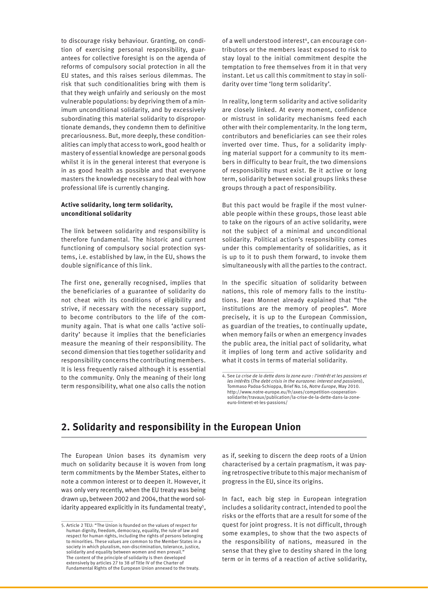to discourage risky behaviour. Granting, on condition of exercising personal responsibility, guarantees for collective foresight is on the agenda of reforms of compulsory social protection in all the EU states, and this raises serious dilemmas. The risk that such conditionalities bring with them is that they weigh unfairly and seriously on the most vulnerable populations: by depriving them of a minimum unconditional solidarity, and by excessively subordinating this material solidarity to disproportionate demands, they condemn them to definitive precariousness. But, more deeply, these conditionalities can imply that access to work, good health or mastery of essential knowledge are personal goods whilst it is in the general interest that everyone is in as good health as possible and that everyone masters the knowledge necessary to deal with how professional life is currently changing.

### **Active solidarity, long term solidarity, unconditional solidarity**

The link between solidarity and responsibility is therefore fundamental. The historic and current functioning of compulsory social protection systems, i.e. established by law, in the EU, shows the double significance of this link.

The first one, generally recognised, implies that the beneficiaries of a guarantee of solidarity do not cheat with its conditions of eligibility and strive, if necessary with the necessary support, to become contributors to the life of the community again. That is what one calls 'active solidarity' because it implies that the beneficiaries measure the meaning of their responsibility. The second dimension that ties together solidarity and responsibility concerns the contributing members. It is less frequently raised although it is essential to the community. Only the meaning of their long term responsibility, what one also calls the notion

of a well understood interest<sup>4</sup>, can encourage contributors or the members least exposed to risk to stay loyal to the initial commitment despite the temptation to free themselves from it in that very instant. Let us call this commitment to stay in solidarity over time 'long term solidarity'.

In reality, long term solidarity and active solidarity are closely linked. At every moment, confidence or mistrust in solidarity mechanisms feed each other with their complementarity. In the long term, contributors and beneficiaries can see their roles inverted over time. Thus, for a solidarity implying material support for a community to its members in difficulty to bear fruit, the two dimensions of responsibility must exist. Be it active or long term, solidarity between social groups links these groups through a pact of responsibility.

But this pact would be fragile if the most vulnerable people within these groups, those least able to take on the rigours of an active solidarity, were not the subject of a minimal and unconditional solidarity. Political action's responsibility comes under this complementarity of solidarities, as it is up to it to push them forward, to invoke them simultaneously with all the parties to the contract.

In the specific situation of solidarity between nations, this role of memory falls to the institutions. Jean Monnet already explained that "the institutions are the memory of peoples". More precisely, it is up to the European Commission, as guardian of the treaties, to continually update, when memory fails or when an emergency invades the public area, the initial pact of solidarity, what it implies of long term and active solidarity and what it costs in terms of material solidarity.

## **2. Solidarity and responsibility in the European Union**

The European Union bases its dynamism very much on solidarity because it is woven from long term commitments by the Member States, either to note a common interest or to deepen it. However, it was only very recently, when the EU treaty was being drawn up, between 2002 and 2004, that the word solidarity appeared explicitly in its fundamental treaty<sup>5</sup>, as if, seeking to discern the deep roots of a Union characterised by a certain pragmatism, it was paying retrospective tribute to this major mechanism of progress in the EU, since its origins.

In fact, each big step in European integration includes a solidarity contract, intended to pool the risks or the efforts that are a result for some of the quest for joint progress. It is not difficult, through some examples, to show that the two aspects of the responsibility of nations, measured in the sense that they give to destiny shared in the long term or in terms of a reaction of active solidarity,

<sup>4.</sup> See *La crise de la dette dans la zone euro : l'intérêt et les passions et les intérêts* (*The debt crisis in the eurozone: interest and passions*), Tommaso Padoa-Schioppa, Brief No.16, *Notre Europe*, May 2010. http://www.notre-europe.eu/fr/axes/competition-cooperationsolidarite/travaux/publication/la-crise-de-la-dette-dans-la-zoneeuro-linteret-et-les-passions/

<sup>5.</sup> Article 2 TEU: "The Union is founded on the values of respect for human dignity, freedom, democracy, equality, the rule of law and respect for human rights, including the rights of persons belonging to minorities. These values are common to the Member States in a society in which pluralism, non-discrimination, tolerance, justice, solidarity and equality between women and men prevail. The content of the principle of solidarity is then developed extensively by articles 27 to 38 of Title IV of the Charter of Fundamental Rights of the European Union annexed to the treaty.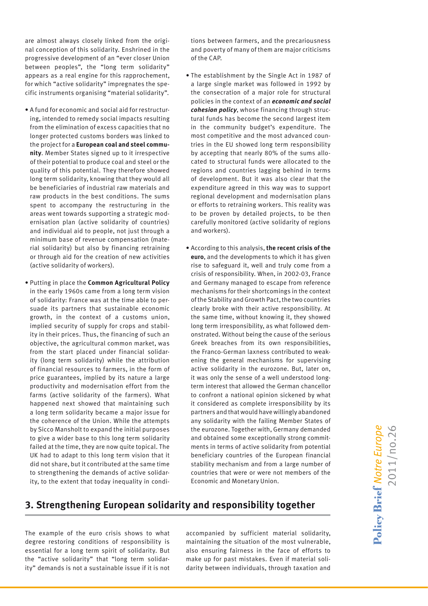are almost always closely linked from the original conception of this solidarity. Enshrined in the progressive development of an "ever closer Union between peoples", the "long term solidarity" appears as a real engine for this rapprochement, for which "active solidarity" impregnates the specific instruments organising "material solidarity".

- A fund for economic and social aid for restructuring, intended to remedy social impacts resulting from the elimination of excess capacities that no longer protected customs borders was linked to the project for a **European coal and steel community**. Member States signed up to it irrespective of their potential to produce coal and steel or the quality of this potential. They therefore showed long term solidarity, knowing that they would all be beneficiaries of industrial raw materials and raw products in the best conditions. The sums spent to accompany the restructuring in the areas went towards supporting a strategic modernisation plan (active solidarity of countries) and individual aid to people, not just through a minimum base of revenue compensation (material solidarity) but also by financing retraining or through aid for the creation of new activities (active solidarity of workers).
- Putting in place the **Common Agricultural Policy** in the early 1960s came from a long term vision of solidarity: France was at the time able to persuade its partners that sustainable economic growth, in the context of a customs union, implied security of supply for crops and stability in their prices. Thus, the financing of such an objective, the agricultural common market, was from the start placed under financial solidarity (long term solidarity) while the attribution of financial resources to farmers, in the form of price guarantees, implied by its nature a large productivity and modernisation effort from the farms (active solidarity of the farmers). What happened next showed that maintaining such a long term solidarity became a major issue for the coherence of the Union. While the attempts by Sicco Mansholt to expand the initial purposes to give a wider base to this long term solidarity failed at the time, they are now quite topical. The UK had to adapt to this long term vision that it did not share, but it contributed at the same time to strengthening the demands of active solidarity, to the extent that today inequality in condi-

tions between farmers, and the precariousness and poverty of many of them are major criticisms of the CAP.

- The establishment by the Single Act in 1987 of a large single market was followed in 1992 by the consecration of a major role for structural policies in the context of an *economic and social cohesion policy*, whose financing through structural funds has become the second largest item in the community budget's expenditure. The most competitive and the most advanced countries in the EU showed long term responsibility by accepting that nearly 80% of the sums allocated to structural funds were allocated to the regions and countries lagging behind in terms of development. But it was also clear that the expenditure agreed in this way was to support regional development and modernisation plans or efforts to retraining workers. This reality was to be proven by detailed projects, to be then carefully monitored (active solidarity of regions and workers).
- According to this analysis, **the recent crisis of the euro**, and the developments to which it has given rise to safeguard it, well and truly come from a crisis of responsibility. When, in 2002-03, France and Germany managed to escape from reference mechanisms for their shortcomings in the context of the Stability and Growth Pact, the two countries clearly broke with their active responsibility. At the same time, without knowing it, they showed long term irresponsibility, as what followed demonstrated. Without being the cause of the serious Greek breaches from its own responsibilities, the Franco-German laxness contributed to weakening the general mechanisms for supervising active solidarity in the eurozone. But, later on, it was only the sense of a well understood longterm interest that allowed the German chancellor to confront a national opinion sickened by what it considered as complete irresponsibility by its partners and that would have willingly abandoned any solidarity with the failing Member States of the eurozone. Together with, Germany demanded and obtained some exceptionally strong commitments in terms of active solidarity from potential beneficiary countries of the European financial stability mechanism and from a large number of countries that were or were not members of the Economic and Monetary Union.

# 2011/no.26Policy Brief Notre Europe 2011/no.26

## **3. Strengthening European solidarity and responsibility together**

The example of the euro crisis shows to what degree restoring conditions of responsibility is essential for a long term spirit of solidarity. But the "active solidarity" that "long term solidarity" demands is not a sustainable issue if it is not

accompanied by sufficient material solidarity, maintaining the situation of the most vulnerable, also ensuring fairness in the face of efforts to make up for past mistakes. Even if material solidarity between individuals, through taxation and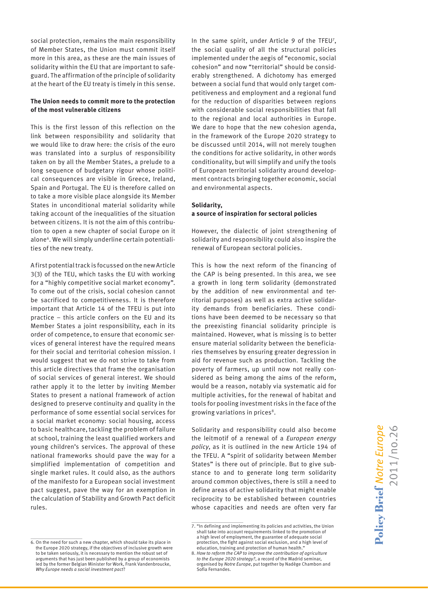social protection, remains the main responsibility of Member States, the Union must commit itself more in this area, as these are the main issues of solidarity within the EU that are important to safeguard. The affirmation of the principle of solidarity at the heart of the EU treaty is timely in this sense.

### **The Union needs to commit more to the protection of the most vulnerable citizens**

This is the first lesson of this reflection on the link between responsibility and solidarity that we would like to draw here: the crisis of the euro was translated into a surplus of responsibility taken on by all the Member States, a prelude to a long sequence of budgetary rigour whose political consequences are visible in Greece, Ireland, Spain and Portugal. The EU is therefore called on to take a more visible place alongside its Member States in unconditional material solidarity while taking account of the inequalities of the situation between citizens. It is not the aim of this contribution to open a new chapter of social Europe on it alone6. We will simply underline certain potentialities of the new treaty.

A first potential track is focussed on the new Article 3(3) of the TEU, which tasks the EU with working for a "highly competitive social market economy". To come out of the crisis, social cohesion cannot be sacrificed to competitiveness. It is therefore important that Article 14 of the TFEU is put into practice – this article confers on the EU and its Member States a joint responsibility, each in its order of competence, to ensure that economic services of general interest have the required means for their social and territorial cohesion mission. I would suggest that we do not strive to take from this article directives that frame the organisation of social services of general interest. We should rather apply it to the letter by inviting Member States to present a national framework of action designed to preserve continuity and quality in the performance of some essential social services for a social market economy: social housing, access to basic healthcare, tackling the problem of failure at school, training the least qualified workers and young children's services. The approval of these national frameworks should pave the way for a simplified implementation of competition and single market rules. It could also, as the authors of the manifesto for a European social investment pact suggest, pave the way for an exemption in the calculation of Stability and Growth Pact deficit rules.

In the same spirit, under Article 9 of the TFEU<sup>7</sup>, the social quality of all the structural policies implemented under the aegis of "economic, social cohesion" and now "territorial" should be considerably strengthened. A dichotomy has emerged between a social fund that would only target competitiveness and employment and a regional fund for the reduction of disparities between regions with considerable social responsibilities that fall to the regional and local authorities in Europe. We dare to hope that the new cohesion agenda, in the framework of the Europe 2020 strategy to be discussed until 2014, will not merely toughen the conditions for active solidarity, in other words conditionality, but will simplify and unify the tools of European territorial solidarity around development contracts bringing together economic, social and environmental aspects.

#### **Solidarity, a source of inspiration for sectoral policies**

However, the dialectic of joint strengthening of solidarity and responsibility could also inspire the renewal of European sectoral policies.

This is how the next reform of the financing of the CAP is being presented. In this area, we see a growth in long term solidarity (demonstrated by the addition of new environmental and territorial purposes) as well as extra active solidarity demands from beneficiaries. These conditions have been deemed to be necessary so that the preexisting financial solidarity principle is maintained. However, what is missing is to better ensure material solidarity between the beneficiaries themselves by ensuring greater degression in aid for revenue such as production. Tackling the poverty of farmers, up until now not really considered as being among the aims of the reform, would be a reason, notably via systematic aid for multiple activities, for the renewal of habitat and tools for pooling investment risks in the face of the growing variations in prices<sup>8</sup>.

Solidarity and responsibility could also become the leitmotif of a renewal of a *European energy policy*, as it is outlined in the new Article 194 of the TFEU. A "spirit of solidarity between Member States" is there out of principle. But to give substance to and to generate long term solidarity around common objectives, there is still a need to define areas of active solidarity that might enable reciprocity to be established between countries whose capacities and needs are often very far

<sup>6.</sup> On the need for such a new chapter, which should take its place in the Europe 2020 strategy, if the objectives of inclusive growth were to be taken seriously, it is necessary to mention the robust set of arguments that has just been published by a group of economists led by the former Belgian Minister for Work, Frank Vandenbroucke, *Why Europe needs a social investment pact*?

<sup>7. &</sup>quot;In defining and implementing its policies and activities, the Union shall take into account requirements linked to the promotion of a high level of employment, the guarantee of adequate social protection, the fight against social exclusion, and a high level of education, training and protection of human health.

<sup>8.</sup> *How to reform the CAP to improve the contribution of agriculture to the Europe 2020 strategy?*, a record of the Madrid seminar, organised by *Notre Europe*, put together by Nadège Chambon and Sofia Fernandes.